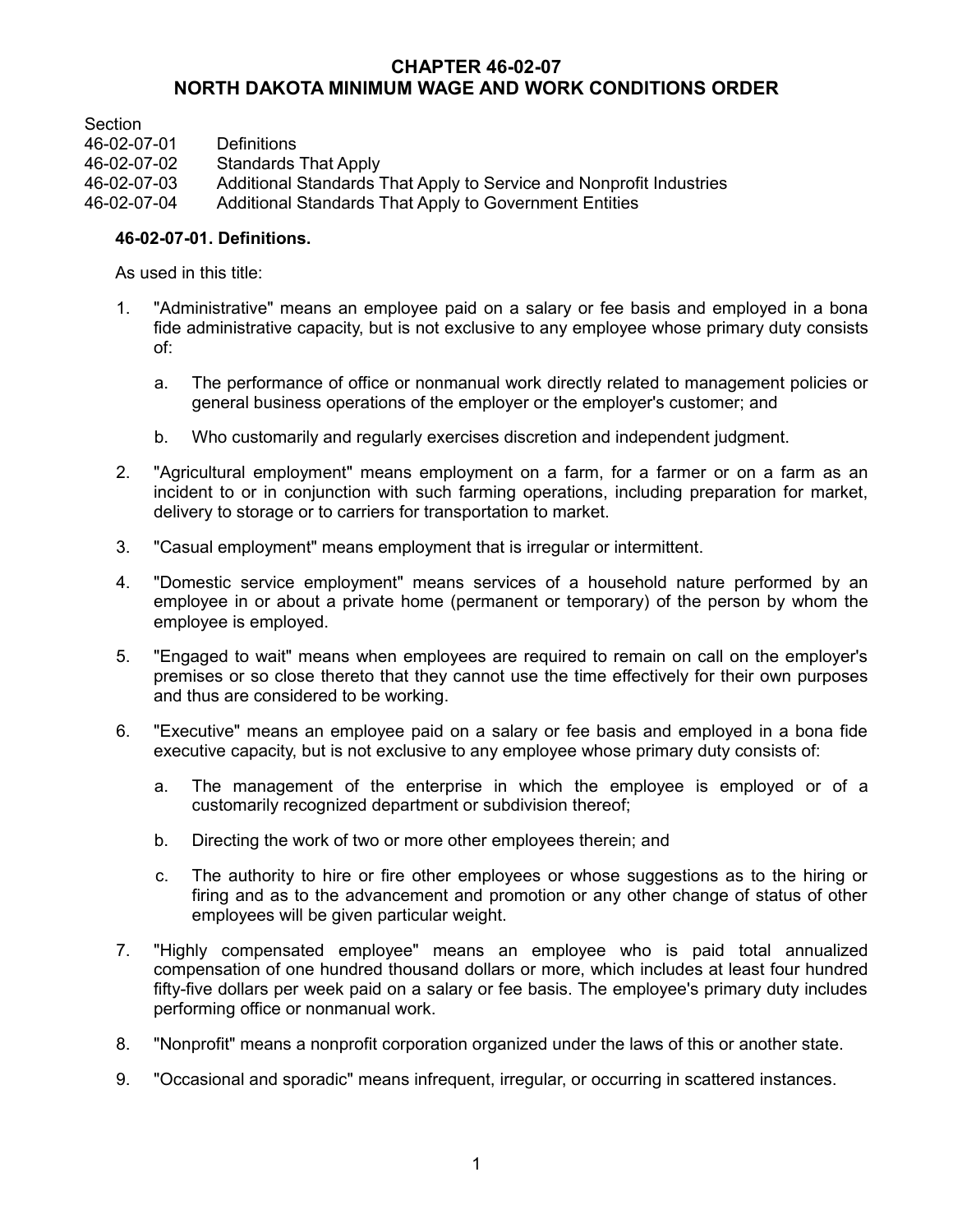# **CHAPTER 46-02-07 NORTH DAKOTA MINIMUM WAGE AND WORK CONDITIONS ORDER**

**Section** 46-02-07-01 Definitions Standards That Apply 46-02-07-03 Additional Standards That Apply to Service and Nonprofit Industries 46-02-07-04 Additional Standards That Apply to Government Entities

# **46-02-07-01. Definitions.**

As used in this title:

- 1. "Administrative" means an employee paid on a salary or fee basis and employed in a bona fide administrative capacity, but is not exclusive to any employee whose primary duty consists of:
	- a. The performance of office or nonmanual work directly related to management policies or general business operations of the employer or the employer's customer; and
	- b. Who customarily and regularly exercises discretion and independent judgment.
- 2. "Agricultural employment" means employment on a farm, for a farmer or on a farm as an incident to or in conjunction with such farming operations, including preparation for market, delivery to storage or to carriers for transportation to market.
- 3. "Casual employment" means employment that is irregular or intermittent.
- 4. "Domestic service employment" means services of a household nature performed by an employee in or about a private home (permanent or temporary) of the person by whom the employee is employed.
- 5. "Engaged to wait" means when employees are required to remain on call on the employer's premises or so close thereto that they cannot use the time effectively for their own purposes and thus are considered to be working.
- 6. "Executive" means an employee paid on a salary or fee basis and employed in a bona fide executive capacity, but is not exclusive to any employee whose primary duty consists of:
	- a. The management of the enterprise in which the employee is employed or of a customarily recognized department or subdivision thereof;
	- b. Directing the work of two or more other employees therein; and
	- c. The authority to hire or fire other employees or whose suggestions as to the hiring or firing and as to the advancement and promotion or any other change of status of other employees will be given particular weight.
- 7. "Highly compensated employee" means an employee who is paid total annualized compensation of one hundred thousand dollars or more, which includes at least four hundred fifty-five dollars per week paid on a salary or fee basis. The employee's primary duty includes performing office or nonmanual work.
- 8. "Nonprofit" means a nonprofit corporation organized under the laws of this or another state.
- 9. "Occasional and sporadic" means infrequent, irregular, or occurring in scattered instances.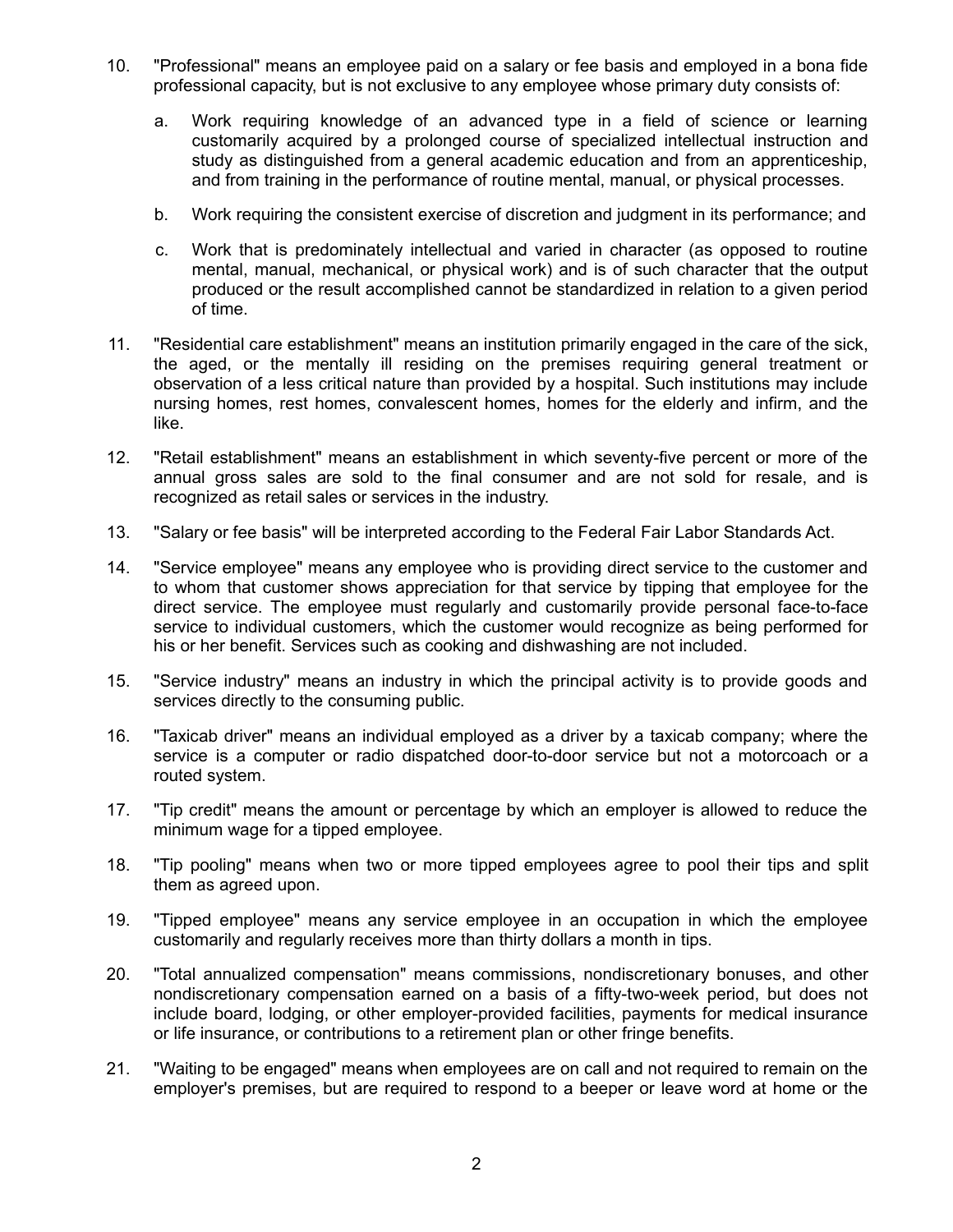- 10. "Professional" means an employee paid on a salary or fee basis and employed in a bona fide professional capacity, but is not exclusive to any employee whose primary duty consists of:
	- a. Work requiring knowledge of an advanced type in a field of science or learning customarily acquired by a prolonged course of specialized intellectual instruction and study as distinguished from a general academic education and from an apprenticeship, and from training in the performance of routine mental, manual, or physical processes.
	- b. Work requiring the consistent exercise of discretion and judgment in its performance; and
	- c. Work that is predominately intellectual and varied in character (as opposed to routine mental, manual, mechanical, or physical work) and is of such character that the output produced or the result accomplished cannot be standardized in relation to a given period of time.
- 11. "Residential care establishment" means an institution primarily engaged in the care of the sick, the aged, or the mentally ill residing on the premises requiring general treatment or observation of a less critical nature than provided by a hospital. Such institutions may include nursing homes, rest homes, convalescent homes, homes for the elderly and infirm, and the like.
- 12. "Retail establishment" means an establishment in which seventy-five percent or more of the annual gross sales are sold to the final consumer and are not sold for resale, and is recognized as retail sales or services in the industry.
- 13. "Salary or fee basis" will be interpreted according to the Federal Fair Labor Standards Act.
- 14. "Service employee" means any employee who is providing direct service to the customer and to whom that customer shows appreciation for that service by tipping that employee for the direct service. The employee must regularly and customarily provide personal face-to-face service to individual customers, which the customer would recognize as being performed for his or her benefit. Services such as cooking and dishwashing are not included.
- 15. "Service industry" means an industry in which the principal activity is to provide goods and services directly to the consuming public.
- 16. "Taxicab driver" means an individual employed as a driver by a taxicab company; where the service is a computer or radio dispatched door-to-door service but not a motorcoach or a routed system.
- 17. "Tip credit" means the amount or percentage by which an employer is allowed to reduce the minimum wage for a tipped employee.
- 18. "Tip pooling" means when two or more tipped employees agree to pool their tips and split them as agreed upon.
- 19. "Tipped employee" means any service employee in an occupation in which the employee customarily and regularly receives more than thirty dollars a month in tips.
- 20. "Total annualized compensation" means commissions, nondiscretionary bonuses, and other nondiscretionary compensation earned on a basis of a fifty-two-week period, but does not include board, lodging, or other employer-provided facilities, payments for medical insurance or life insurance, or contributions to a retirement plan or other fringe benefits.
- 21. "Waiting to be engaged" means when employees are on call and not required to remain on the employer's premises, but are required to respond to a beeper or leave word at home or the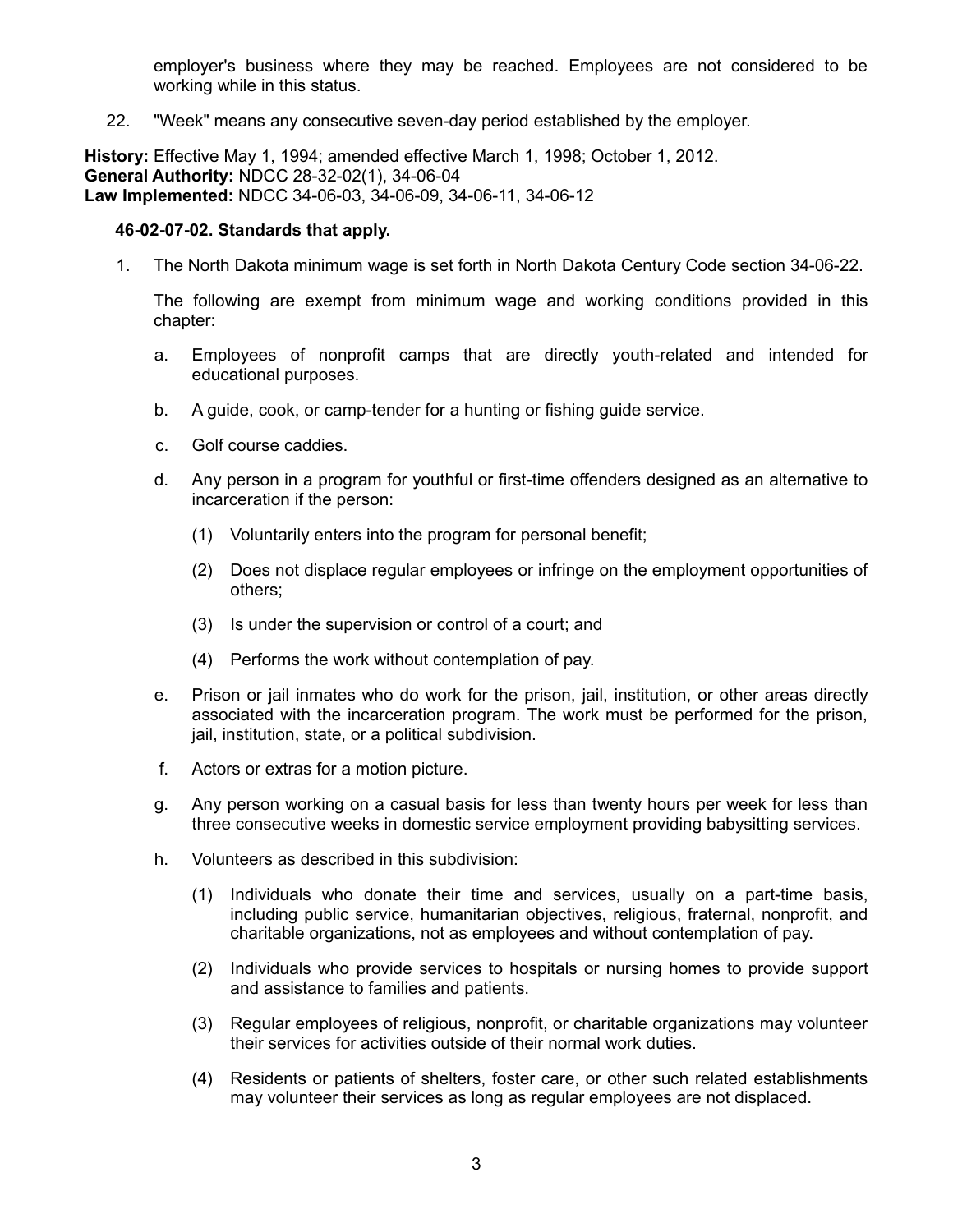employer's business where they may be reached. Employees are not considered to be working while in this status.

22. "Week" means any consecutive seven-day period established by the employer.

**History:** Effective May 1, 1994; amended effective March 1, 1998; October 1, 2012. **General Authority:** NDCC 28-32-02(1), 34-06-04 **Law Implemented:** NDCC 34-06-03, 34-06-09, 34-06-11, 34-06-12

#### **46-02-07-02. Standards that apply.**

1. The North Dakota minimum wage is set forth in North Dakota Century Code section 34-06-22.

The following are exempt from minimum wage and working conditions provided in this chapter:

- a. Employees of nonprofit camps that are directly youth-related and intended for educational purposes.
- b. A guide, cook, or camp-tender for a hunting or fishing guide service.
- c. Golf course caddies.
- d. Any person in a program for youthful or first-time offenders designed as an alternative to incarceration if the person:
	- (1) Voluntarily enters into the program for personal benefit;
	- (2) Does not displace regular employees or infringe on the employment opportunities of others;
	- (3) Is under the supervision or control of a court; and
	- (4) Performs the work without contemplation of pay.
- e. Prison or jail inmates who do work for the prison, jail, institution, or other areas directly associated with the incarceration program. The work must be performed for the prison, jail, institution, state, or a political subdivision.
- f. Actors or extras for a motion picture.
- g. Any person working on a casual basis for less than twenty hours per week for less than three consecutive weeks in domestic service employment providing babysitting services.
- h. Volunteers as described in this subdivision:
	- (1) Individuals who donate their time and services, usually on a part-time basis, including public service, humanitarian objectives, religious, fraternal, nonprofit, and charitable organizations, not as employees and without contemplation of pay.
	- (2) Individuals who provide services to hospitals or nursing homes to provide support and assistance to families and patients.
	- (3) Regular employees of religious, nonprofit, or charitable organizations may volunteer their services for activities outside of their normal work duties.
	- (4) Residents or patients of shelters, foster care, or other such related establishments may volunteer their services as long as regular employees are not displaced.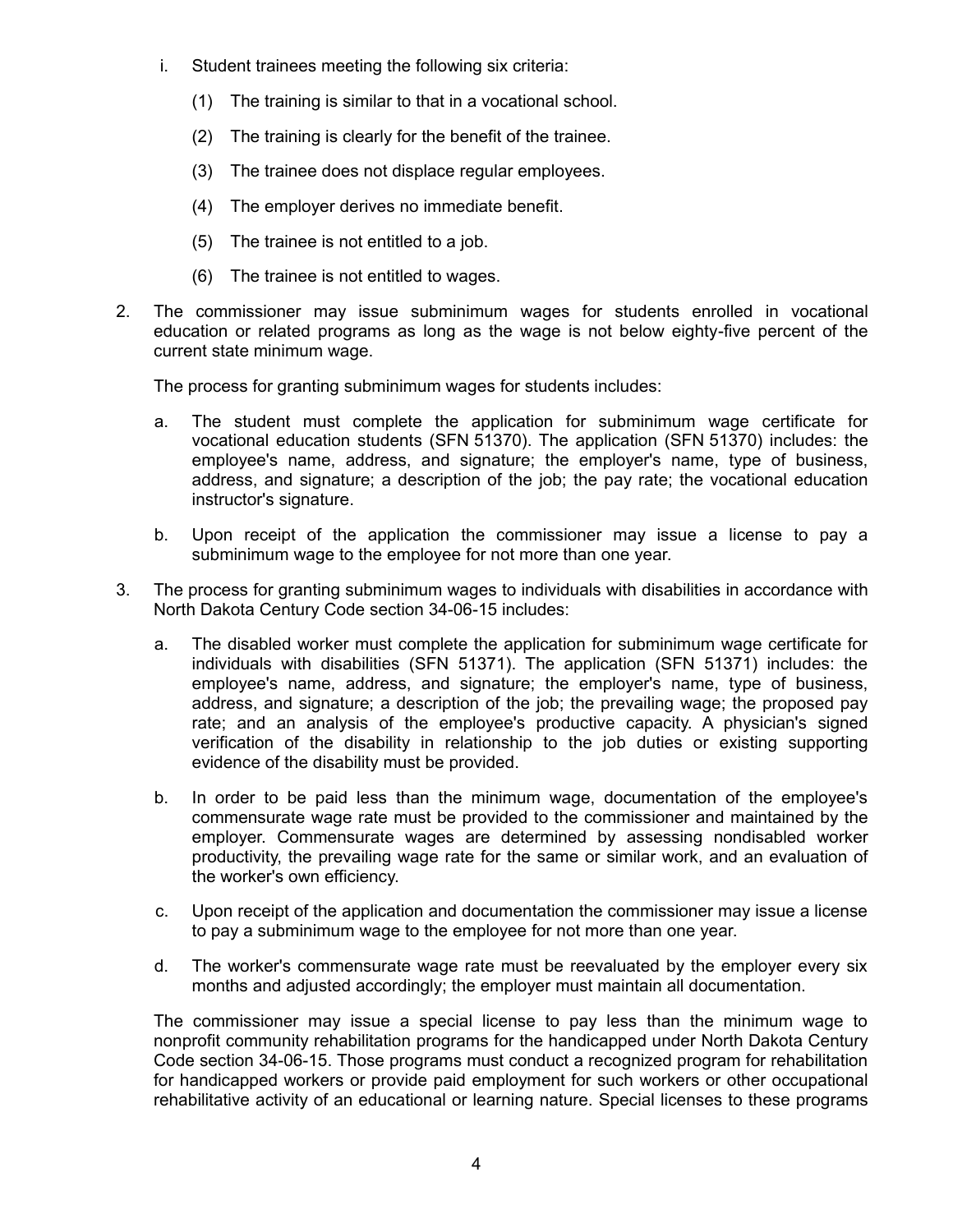- i. Student trainees meeting the following six criteria:
	- (1) The training is similar to that in a vocational school.
	- (2) The training is clearly for the benefit of the trainee.
	- (3) The trainee does not displace regular employees.
	- (4) The employer derives no immediate benefit.
	- (5) The trainee is not entitled to a job.
	- (6) The trainee is not entitled to wages.
- 2. The commissioner may issue subminimum wages for students enrolled in vocational education or related programs as long as the wage is not below eighty-five percent of the current state minimum wage.

The process for granting subminimum wages for students includes:

- a. The student must complete the application for subminimum wage certificate for vocational education students (SFN 51370). The application (SFN 51370) includes: the employee's name, address, and signature; the employer's name, type of business, address, and signature; a description of the job; the pay rate; the vocational education instructor's signature.
- b. Upon receipt of the application the commissioner may issue a license to pay a subminimum wage to the employee for not more than one year.
- 3. The process for granting subminimum wages to individuals with disabilities in accordance with North Dakota Century Code section 34-06-15 includes:
	- a. The disabled worker must complete the application for subminimum wage certificate for individuals with disabilities (SFN 51371). The application (SFN 51371) includes: the employee's name, address, and signature; the employer's name, type of business, address, and signature; a description of the job; the prevailing wage; the proposed pay rate; and an analysis of the employee's productive capacity. A physician's signed verification of the disability in relationship to the job duties or existing supporting evidence of the disability must be provided.
	- b. In order to be paid less than the minimum wage, documentation of the employee's commensurate wage rate must be provided to the commissioner and maintained by the employer. Commensurate wages are determined by assessing nondisabled worker productivity, the prevailing wage rate for the same or similar work, and an evaluation of the worker's own efficiency.
	- c. Upon receipt of the application and documentation the commissioner may issue a license to pay a subminimum wage to the employee for not more than one year.
	- d. The worker's commensurate wage rate must be reevaluated by the employer every six months and adjusted accordingly; the employer must maintain all documentation.

The commissioner may issue a special license to pay less than the minimum wage to nonprofit community rehabilitation programs for the handicapped under North Dakota Century Code section 34-06-15. Those programs must conduct a recognized program for rehabilitation for handicapped workers or provide paid employment for such workers or other occupational rehabilitative activity of an educational or learning nature. Special licenses to these programs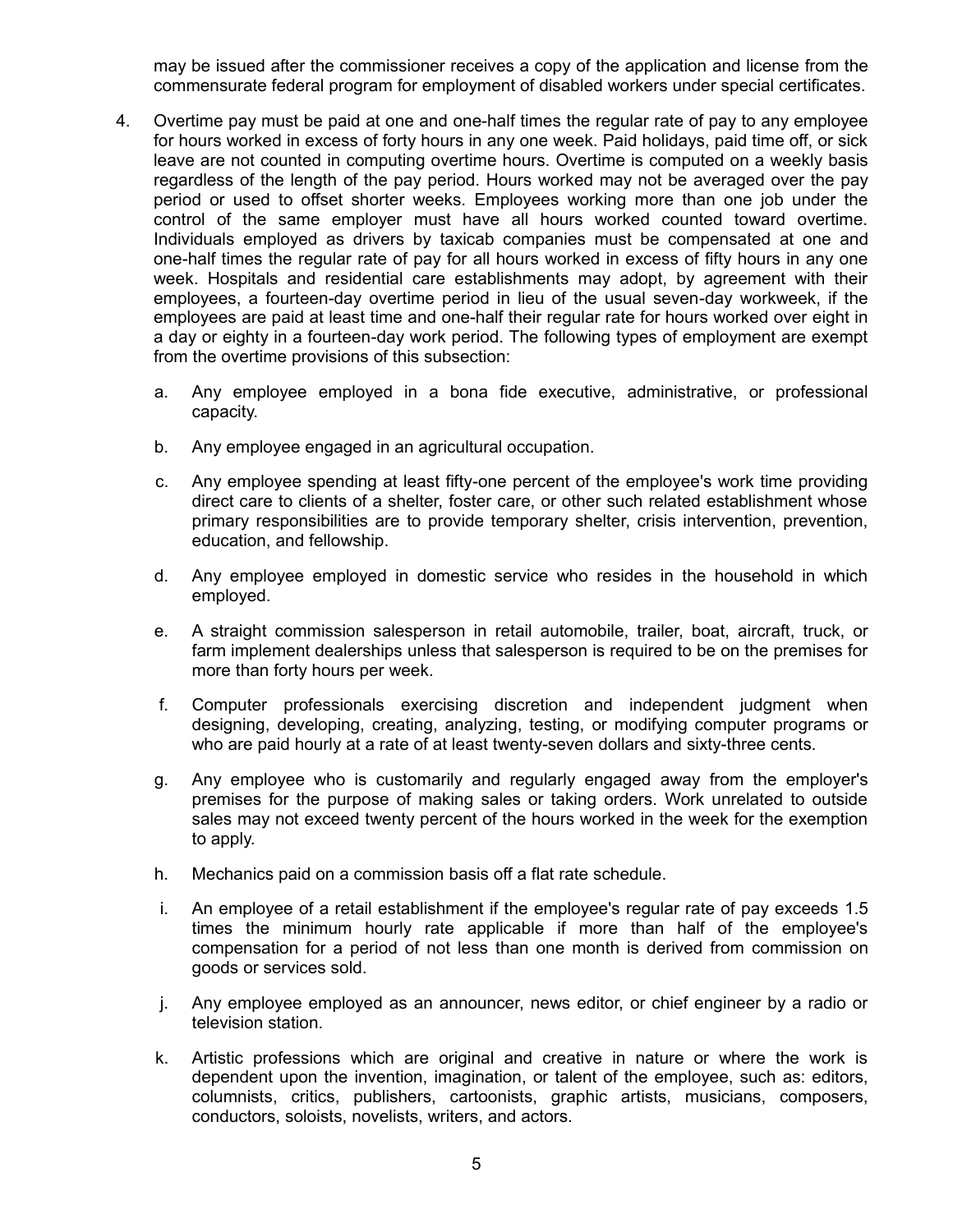may be issued after the commissioner receives a copy of the application and license from the commensurate federal program for employment of disabled workers under special certificates.

- 4. Overtime pay must be paid at one and one-half times the regular rate of pay to any employee for hours worked in excess of forty hours in any one week. Paid holidays, paid time off, or sick leave are not counted in computing overtime hours. Overtime is computed on a weekly basis regardless of the length of the pay period. Hours worked may not be averaged over the pay period or used to offset shorter weeks. Employees working more than one job under the control of the same employer must have all hours worked counted toward overtime. Individuals employed as drivers by taxicab companies must be compensated at one and one-half times the regular rate of pay for all hours worked in excess of fifty hours in any one week. Hospitals and residential care establishments may adopt, by agreement with their employees, a fourteen-day overtime period in lieu of the usual seven-day workweek, if the employees are paid at least time and one-half their regular rate for hours worked over eight in a day or eighty in a fourteen-day work period. The following types of employment are exempt from the overtime provisions of this subsection:
	- a. Any employee employed in a bona fide executive, administrative, or professional capacity.
	- b. Any employee engaged in an agricultural occupation.
	- c. Any employee spending at least fifty-one percent of the employee's work time providing direct care to clients of a shelter, foster care, or other such related establishment whose primary responsibilities are to provide temporary shelter, crisis intervention, prevention, education, and fellowship.
	- d. Any employee employed in domestic service who resides in the household in which employed.
	- e. A straight commission salesperson in retail automobile, trailer, boat, aircraft, truck, or farm implement dealerships unless that salesperson is required to be on the premises for more than forty hours per week.
	- f. Computer professionals exercising discretion and independent judgment when designing, developing, creating, analyzing, testing, or modifying computer programs or who are paid hourly at a rate of at least twenty-seven dollars and sixty-three cents.
	- g. Any employee who is customarily and regularly engaged away from the employer's premises for the purpose of making sales or taking orders. Work unrelated to outside sales may not exceed twenty percent of the hours worked in the week for the exemption to apply.
	- h. Mechanics paid on a commission basis off a flat rate schedule.
	- i. An employee of a retail establishment if the employee's regular rate of pay exceeds 1.5 times the minimum hourly rate applicable if more than half of the employee's compensation for a period of not less than one month is derived from commission on goods or services sold.
	- j. Any employee employed as an announcer, news editor, or chief engineer by a radio or television station.
	- k. Artistic professions which are original and creative in nature or where the work is dependent upon the invention, imagination, or talent of the employee, such as: editors, columnists, critics, publishers, cartoonists, graphic artists, musicians, composers, conductors, soloists, novelists, writers, and actors.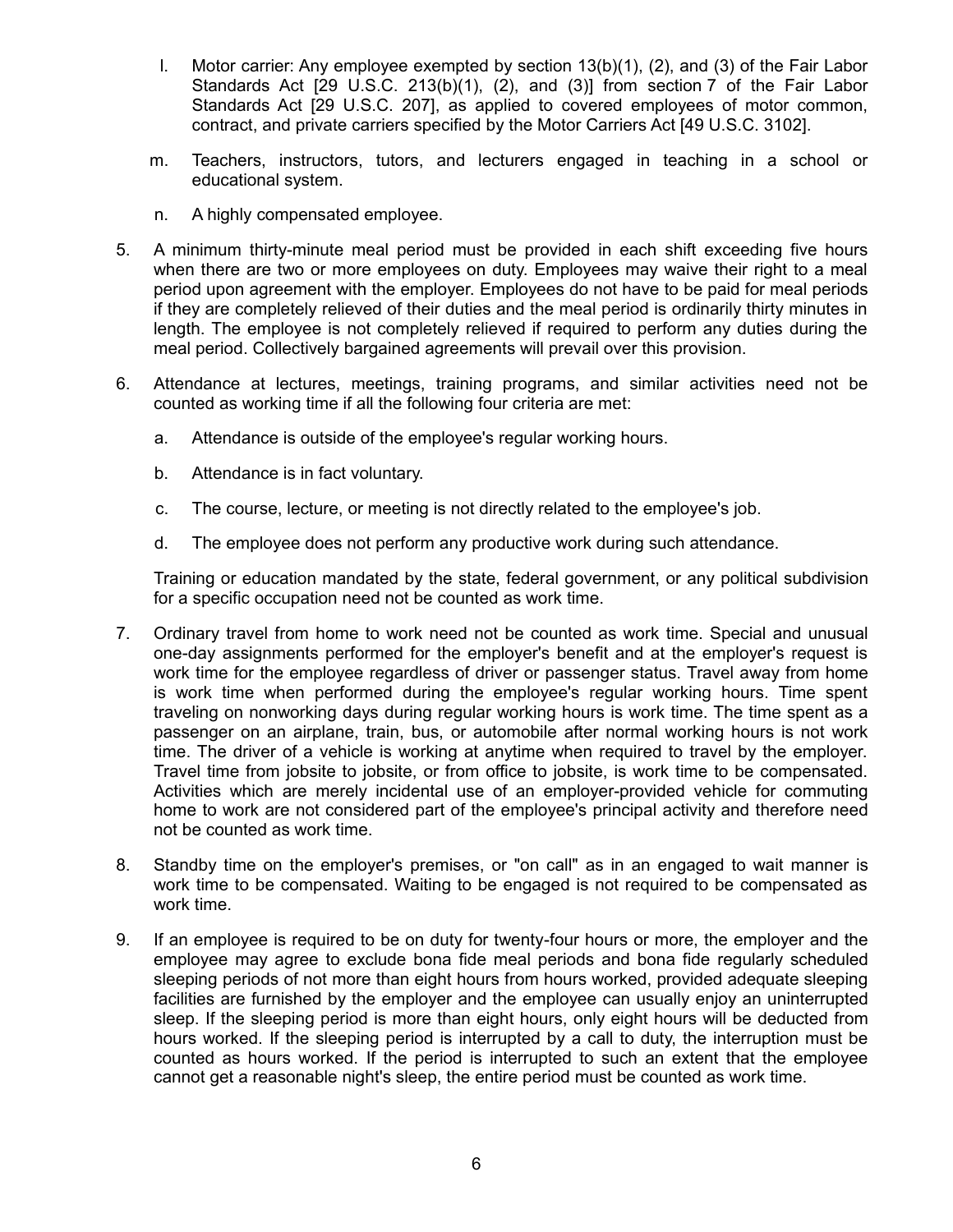- l. Motor carrier: Any employee exempted by section 13(b)(1), (2), and (3) of the Fair Labor Standards Act [29 U.S.C. 213(b)(1), (2), and (3)] from section 7 of the Fair Labor Standards Act [29 U.S.C. 207], as applied to covered employees of motor common, contract, and private carriers specified by the Motor Carriers Act [49 U.S.C. 3102].
- m. Teachers, instructors, tutors, and lecturers engaged in teaching in a school or educational system.
- n. A highly compensated employee.
- 5. A minimum thirty-minute meal period must be provided in each shift exceeding five hours when there are two or more employees on duty. Employees may waive their right to a meal period upon agreement with the employer. Employees do not have to be paid for meal periods if they are completely relieved of their duties and the meal period is ordinarily thirty minutes in length. The employee is not completely relieved if required to perform any duties during the meal period. Collectively bargained agreements will prevail over this provision.
- 6. Attendance at lectures, meetings, training programs, and similar activities need not be counted as working time if all the following four criteria are met:
	- a. Attendance is outside of the employee's regular working hours.
	- b. Attendance is in fact voluntary.
	- c. The course, lecture, or meeting is not directly related to the employee's job.
	- d. The employee does not perform any productive work during such attendance.

Training or education mandated by the state, federal government, or any political subdivision for a specific occupation need not be counted as work time.

- 7. Ordinary travel from home to work need not be counted as work time. Special and unusual one-day assignments performed for the employer's benefit and at the employer's request is work time for the employee regardless of driver or passenger status. Travel away from home is work time when performed during the employee's regular working hours. Time spent traveling on nonworking days during regular working hours is work time. The time spent as a passenger on an airplane, train, bus, or automobile after normal working hours is not work time. The driver of a vehicle is working at anytime when required to travel by the employer. Travel time from jobsite to jobsite, or from office to jobsite, is work time to be compensated. Activities which are merely incidental use of an employer-provided vehicle for commuting home to work are not considered part of the employee's principal activity and therefore need not be counted as work time.
- 8. Standby time on the employer's premises, or "on call" as in an engaged to wait manner is work time to be compensated. Waiting to be engaged is not required to be compensated as work time.
- 9. If an employee is required to be on duty for twenty-four hours or more, the employer and the employee may agree to exclude bona fide meal periods and bona fide regularly scheduled sleeping periods of not more than eight hours from hours worked, provided adequate sleeping facilities are furnished by the employer and the employee can usually enjoy an uninterrupted sleep. If the sleeping period is more than eight hours, only eight hours will be deducted from hours worked. If the sleeping period is interrupted by a call to duty, the interruption must be counted as hours worked. If the period is interrupted to such an extent that the employee cannot get a reasonable night's sleep, the entire period must be counted as work time.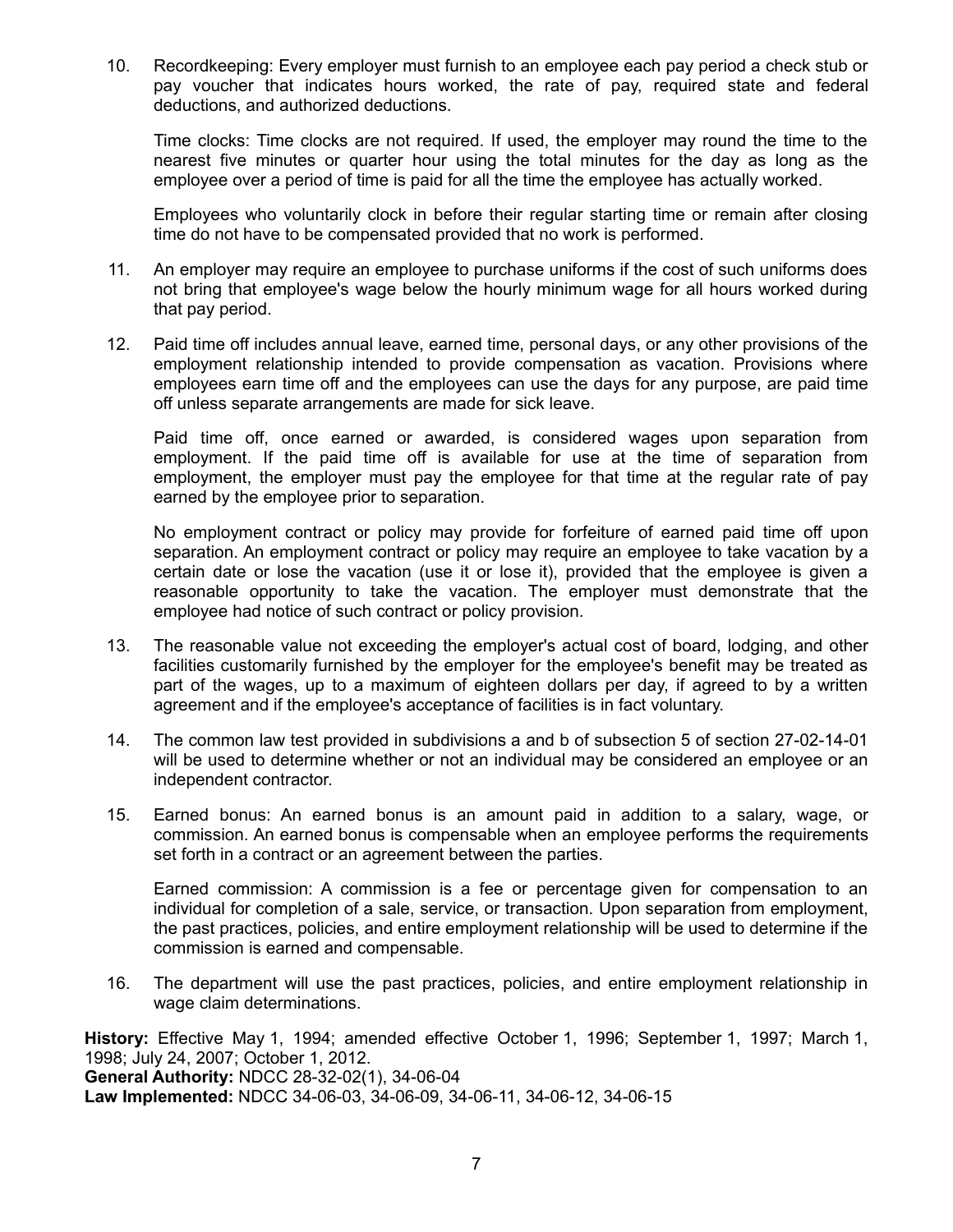10. Recordkeeping: Every employer must furnish to an employee each pay period a check stub or pay voucher that indicates hours worked, the rate of pay, required state and federal deductions, and authorized deductions.

Time clocks: Time clocks are not required. If used, the employer may round the time to the nearest five minutes or quarter hour using the total minutes for the day as long as the employee over a period of time is paid for all the time the employee has actually worked.

Employees who voluntarily clock in before their regular starting time or remain after closing time do not have to be compensated provided that no work is performed.

- 11. An employer may require an employee to purchase uniforms if the cost of such uniforms does not bring that employee's wage below the hourly minimum wage for all hours worked during that pay period.
- 12. Paid time off includes annual leave, earned time, personal days, or any other provisions of the employment relationship intended to provide compensation as vacation. Provisions where employees earn time off and the employees can use the days for any purpose, are paid time off unless separate arrangements are made for sick leave.

Paid time off, once earned or awarded, is considered wages upon separation from employment. If the paid time off is available for use at the time of separation from employment, the employer must pay the employee for that time at the regular rate of pay earned by the employee prior to separation.

No employment contract or policy may provide for forfeiture of earned paid time off upon separation. An employment contract or policy may require an employee to take vacation by a certain date or lose the vacation (use it or lose it), provided that the employee is given a reasonable opportunity to take the vacation. The employer must demonstrate that the employee had notice of such contract or policy provision.

- 13. The reasonable value not exceeding the employer's actual cost of board, lodging, and other facilities customarily furnished by the employer for the employee's benefit may be treated as part of the wages, up to a maximum of eighteen dollars per day, if agreed to by a written agreement and if the employee's acceptance of facilities is in fact voluntary.
- 14. The common law test provided in subdivisions a and b of subsection 5 of section 27-02-14-01 will be used to determine whether or not an individual may be considered an employee or an independent contractor.
- 15. Earned bonus: An earned bonus is an amount paid in addition to a salary, wage, or commission. An earned bonus is compensable when an employee performs the requirements set forth in a contract or an agreement between the parties.

Earned commission: A commission is a fee or percentage given for compensation to an individual for completion of a sale, service, or transaction. Upon separation from employment, the past practices, policies, and entire employment relationship will be used to determine if the commission is earned and compensable.

16. The department will use the past practices, policies, and entire employment relationship in wage claim determinations.

**History:** Effective May 1, 1994; amended effective October 1, 1996; September 1, 1997; March 1, 1998; July 24, 2007; October 1, 2012. **General Authority:** NDCC 28-32-02(1), 34-06-04 **Law Implemented:** NDCC 34-06-03, 34-06-09, 34-06-11, 34-06-12, 34-06-15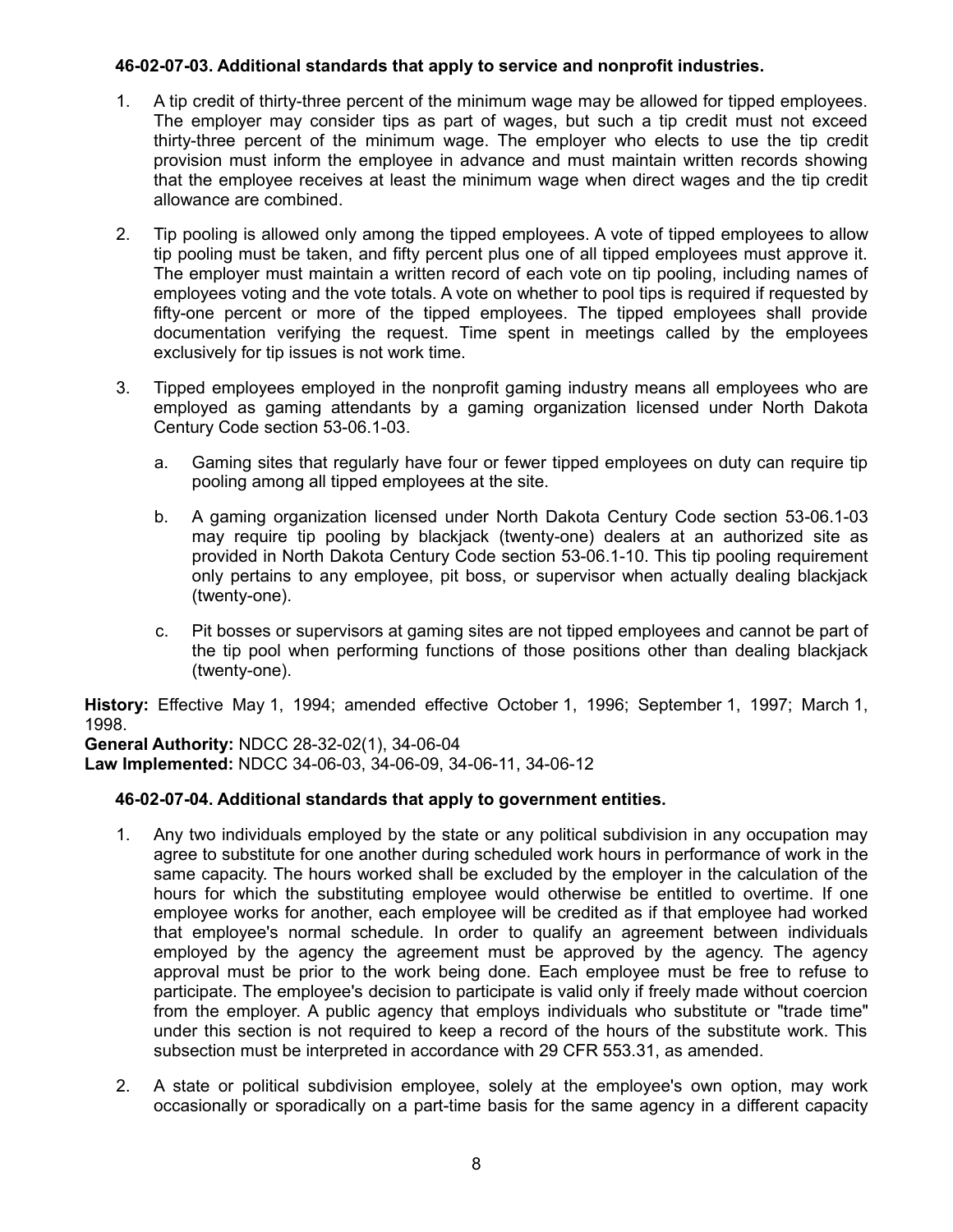### **46-02-07-03. Additional standards that apply to service and nonprofit industries.**

- 1. A tip credit of thirty-three percent of the minimum wage may be allowed for tipped employees. The employer may consider tips as part of wages, but such a tip credit must not exceed thirty-three percent of the minimum wage. The employer who elects to use the tip credit provision must inform the employee in advance and must maintain written records showing that the employee receives at least the minimum wage when direct wages and the tip credit allowance are combined.
- 2. Tip pooling is allowed only among the tipped employees. A vote of tipped employees to allow tip pooling must be taken, and fifty percent plus one of all tipped employees must approve it. The employer must maintain a written record of each vote on tip pooling, including names of employees voting and the vote totals. A vote on whether to pool tips is required if requested by fifty-one percent or more of the tipped employees. The tipped employees shall provide documentation verifying the request. Time spent in meetings called by the employees exclusively for tip issues is not work time.
- 3. Tipped employees employed in the nonprofit gaming industry means all employees who are employed as gaming attendants by a gaming organization licensed under North Dakota Century Code section 53-06.1-03.
	- a. Gaming sites that regularly have four or fewer tipped employees on duty can require tip pooling among all tipped employees at the site.
	- b. A gaming organization licensed under North Dakota Century Code section 53-06.1-03 may require tip pooling by blackjack (twenty-one) dealers at an authorized site as provided in North Dakota Century Code section 53-06.1-10. This tip pooling requirement only pertains to any employee, pit boss, or supervisor when actually dealing blackjack (twenty-one).
	- c. Pit bosses or supervisors at gaming sites are not tipped employees and cannot be part of the tip pool when performing functions of those positions other than dealing blackjack (twenty-one).

**History:** Effective May 1, 1994; amended effective October 1, 1996; September 1, 1997; March 1, 1998.

**General Authority:** NDCC 28-32-02(1), 34-06-04 **Law Implemented:** NDCC 34-06-03, 34-06-09, 34-06-11, 34-06-12

### **46-02-07-04. Additional standards that apply to government entities.**

- 1. Any two individuals employed by the state or any political subdivision in any occupation may agree to substitute for one another during scheduled work hours in performance of work in the same capacity. The hours worked shall be excluded by the employer in the calculation of the hours for which the substituting employee would otherwise be entitled to overtime. If one employee works for another, each employee will be credited as if that employee had worked that employee's normal schedule. In order to qualify an agreement between individuals employed by the agency the agreement must be approved by the agency. The agency approval must be prior to the work being done. Each employee must be free to refuse to participate. The employee's decision to participate is valid only if freely made without coercion from the employer. A public agency that employs individuals who substitute or "trade time" under this section is not required to keep a record of the hours of the substitute work. This subsection must be interpreted in accordance with 29 CFR 553.31, as amended.
- 2. A state or political subdivision employee, solely at the employee's own option, may work occasionally or sporadically on a part-time basis for the same agency in a different capacity